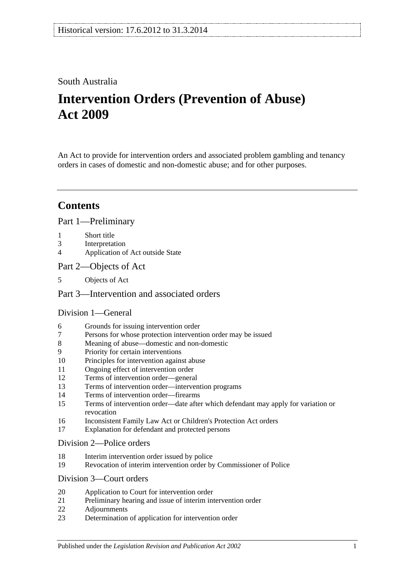## South Australia

# **Intervention Orders (Prevention of Abuse) Act 2009**

An Act to provide for intervention orders and associated problem gambling and tenancy orders in cases of domestic and non-domestic abuse; and for other purposes.

# **Contents**

[Part 1—Preliminary](#page-2-0)

- 1 [Short title](#page-2-1)
- 3 [Interpretation](#page-2-2)
- 4 [Application of Act outside State](#page-3-0)
- [Part 2—Objects of Act](#page-4-0)
- 5 [Objects of Act](#page-4-1)

#### [Part 3—Intervention and associated orders](#page-4-2)

#### [Division 1—General](#page-4-3)

- 6 [Grounds for issuing intervention order](#page-4-4)
- 7 [Persons for whose protection intervention order may be issued](#page-4-5)
- 8 [Meaning of abuse—domestic and non-domestic](#page-5-0)
- 9 [Priority for certain interventions](#page-7-0)
- 10 [Principles for intervention against abuse](#page-8-0)
- 11 [Ongoing effect of intervention order](#page-9-0)
- 12 [Terms of intervention order—general](#page-9-1)
- 13 [Terms of intervention order—intervention programs](#page-10-0)
- 14 [Terms of intervention order—firearms](#page-11-0)
- 15 [Terms of intervention order—date after which defendant may apply for variation or](#page-11-1)  [revocation](#page-11-1)
- 16 [Inconsistent Family Law Act or Children's Protection Act orders](#page-11-2)
- 17 [Explanation for defendant and protected persons](#page-12-0)

#### [Division 2—Police orders](#page-12-1)

- 18 [Interim intervention order issued by police](#page-12-2)
- 19 [Revocation of interim intervention order by Commissioner of Police](#page-13-0)

#### [Division 3—Court orders](#page-13-1)

- 20 [Application to Court for intervention order](#page-13-2)
- 21 [Preliminary hearing and issue of interim intervention order](#page-14-0)
- 22 [Adjournments](#page-15-0)
- 23 [Determination of application for intervention order](#page-16-0)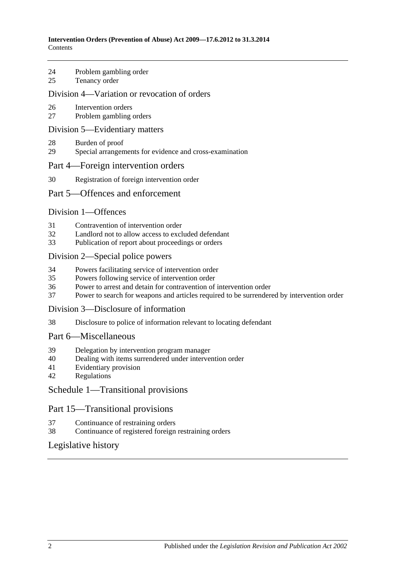- 24 [Problem gambling order](#page-17-0)
- 25 [Tenancy order](#page-17-1)

#### [Division 4—Variation or revocation of orders](#page-18-0)

- 26 [Intervention orders](#page-18-1)
- 27 [Problem gambling orders](#page-20-0)

#### [Division 5—Evidentiary matters](#page-20-1)

- 28 [Burden of proof](#page-20-2)
- 29 [Special arrangements for evidence and cross-examination](#page-20-3)

#### [Part 4—Foreign intervention orders](#page-21-0)

30 [Registration of foreign intervention order](#page-21-1)

#### [Part 5—Offences and enforcement](#page-22-0)

#### [Division 1—Offences](#page-22-1)

- 31 [Contravention of intervention order](#page-22-2)
- 32 [Landlord not to allow access to excluded defendant](#page-22-3)<br>33 Publication of report about proceedings or orders
- [Publication of report about proceedings or orders](#page-22-4)

#### [Division 2—Special police powers](#page-23-0)

- 34 [Powers facilitating service of intervention order](#page-23-1)
- 35 [Powers following service of intervention order](#page-24-0)
- 36 [Power to arrest and detain for contravention of intervention order](#page-24-1)
- 37 [Power to search for weapons and articles required to be surrendered by intervention order](#page-24-2)

#### [Division 3—Disclosure of information](#page-25-0)

38 [Disclosure to police of information relevant to locating defendant](#page-25-1)

#### [Part 6—Miscellaneous](#page-25-2)

- 39 [Delegation by intervention program manager](#page-25-3)
- 40 [Dealing with items surrendered under intervention order](#page-25-4)
- 41 [Evidentiary provision](#page-25-5)
- 42 [Regulations](#page-25-6)

#### [Schedule 1—Transitional provisions](#page-26-0)

#### Part 15—Transitional provisions

- 37 [Continuance of restraining orders](#page-26-1)
- 38 [Continuance of registered foreign restraining orders](#page-26-2)

#### [Legislative history](#page-27-0)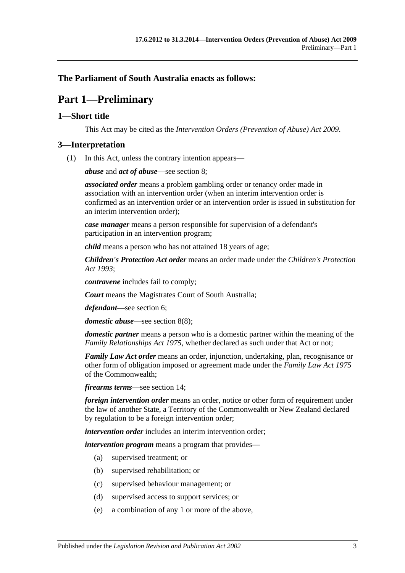### <span id="page-2-0"></span>**The Parliament of South Australia enacts as follows:**

# **Part 1—Preliminary**

#### <span id="page-2-1"></span>**1—Short title**

This Act may be cited as the *Intervention Orders (Prevention of Abuse) Act 2009*.

#### <span id="page-2-2"></span>**3—Interpretation**

(1) In this Act, unless the contrary intention appears—

*abuse* and *act of abuse*—see [section](#page-5-0) 8;

*associated order* means a problem gambling order or tenancy order made in association with an intervention order (when an interim intervention order is confirmed as an intervention order or an intervention order is issued in substitution for an interim intervention order);

*case manager* means a person responsible for supervision of a defendant's participation in an intervention program;

*child* means a person who has not attained 18 years of age;

*Children's Protection Act order* means an order made under the *[Children's Protection](http://www.legislation.sa.gov.au/index.aspx?action=legref&type=act&legtitle=Childrens%20Protection%20Act%201993)  Act [1993](http://www.legislation.sa.gov.au/index.aspx?action=legref&type=act&legtitle=Childrens%20Protection%20Act%201993)*;

*contravene* includes fail to comply;

*Court* means the Magistrates Court of South Australia;

*defendant*—see [section](#page-4-4) 6;

*domestic abuse*—see [section](#page-7-1) 8(8);

*domestic partner* means a person who is a domestic partner within the meaning of the *[Family Relationships Act](http://www.legislation.sa.gov.au/index.aspx?action=legref&type=act&legtitle=Family%20Relationships%20Act%201975) 1975*, whether declared as such under that Act or not;

*Family Law Act order* means an order, injunction, undertaking, plan, recognisance or other form of obligation imposed or agreement made under the *Family Law Act 1975* of the Commonwealth;

*firearms terms*—see [section](#page-11-0) 14;

*foreign intervention order* means an order, notice or other form of requirement under the law of another State, a Territory of the Commonwealth or New Zealand declared by regulation to be a foreign intervention order;

*intervention order* includes an interim intervention order;

*intervention program* means a program that provides—

- (a) supervised treatment; or
- (b) supervised rehabilitation; or
- (c) supervised behaviour management; or
- (d) supervised access to support services; or
- (e) a combination of any 1 or more of the above,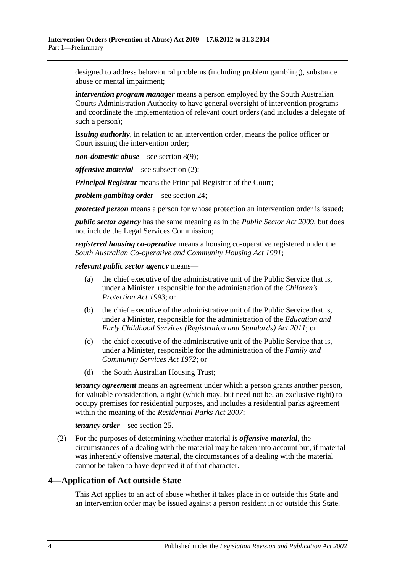designed to address behavioural problems (including problem gambling), substance abuse or mental impairment;

*intervention program manager* means a person employed by the South Australian Courts Administration Authority to have general oversight of intervention programs and coordinate the implementation of relevant court orders (and includes a delegate of such a person);

*issuing authority*, in relation to an intervention order, means the police officer or Court issuing the intervention order;

*non-domestic abuse*—see [section](#page-7-2) 8(9);

*offensive material*—see [subsection](#page-3-1) (2);

*Principal Registrar* means the Principal Registrar of the Court;

*problem gambling order*—see [section](#page-17-0) 24;

*protected person* means a person for whose protection an intervention order is issued;

*public sector agency* has the same meaning as in the *[Public Sector Act](http://www.legislation.sa.gov.au/index.aspx?action=legref&type=act&legtitle=Public%20Sector%20Act%202009) 2009*, but does not include the Legal Services Commission;

*registered housing co-operative* means a housing co-operative registered under the *[South Australian Co-operative and Community Housing Act](http://www.legislation.sa.gov.au/index.aspx?action=legref&type=act&legtitle=South%20Australian%20Co-operative%20and%20Community%20Housing%20Act%201991) 1991*;

*relevant public sector agency* means—

- (a) the chief executive of the administrative unit of the Public Service that is, under a Minister, responsible for the administration of the *[Children's](http://www.legislation.sa.gov.au/index.aspx?action=legref&type=act&legtitle=Childrens%20Protection%20Act%201993)  [Protection Act](http://www.legislation.sa.gov.au/index.aspx?action=legref&type=act&legtitle=Childrens%20Protection%20Act%201993) 1993*; or
- (b) the chief executive of the administrative unit of the Public Service that is, under a Minister, responsible for the administration of the *[Education and](http://www.legislation.sa.gov.au/index.aspx?action=legref&type=act&legtitle=Education%20and%20Early%20Childhood%20Services%20(Registration%20and%20Standards)%20Act%202011)  [Early Childhood Services \(Registration and Standards\) Act](http://www.legislation.sa.gov.au/index.aspx?action=legref&type=act&legtitle=Education%20and%20Early%20Childhood%20Services%20(Registration%20and%20Standards)%20Act%202011) 2011*; or
- (c) the chief executive of the administrative unit of the Public Service that is, under a Minister, responsible for the administration of the *[Family and](http://www.legislation.sa.gov.au/index.aspx?action=legref&type=act&legtitle=Family%20and%20Community%20Services%20Act%201972)  [Community Services Act](http://www.legislation.sa.gov.au/index.aspx?action=legref&type=act&legtitle=Family%20and%20Community%20Services%20Act%201972) 1972*; or
- (d) the South Australian Housing Trust;

*tenancy agreement* means an agreement under which a person grants another person, for valuable consideration, a right (which may, but need not be, an exclusive right) to occupy premises for residential purposes, and includes a residential parks agreement within the meaning of the *[Residential Parks Act](http://www.legislation.sa.gov.au/index.aspx?action=legref&type=act&legtitle=Residential%20Parks%20Act%202007) 2007*;

#### *tenancy order*—see [section](#page-17-1) 25.

<span id="page-3-1"></span>(2) For the purposes of determining whether material is *offensive material*, the circumstances of a dealing with the material may be taken into account but, if material was inherently offensive material, the circumstances of a dealing with the material cannot be taken to have deprived it of that character.

### <span id="page-3-0"></span>**4—Application of Act outside State**

This Act applies to an act of abuse whether it takes place in or outside this State and an intervention order may be issued against a person resident in or outside this State.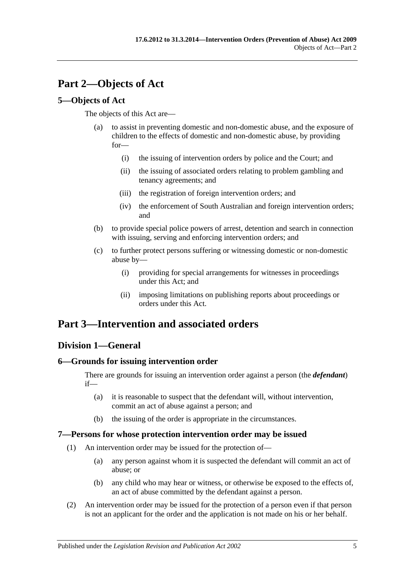# <span id="page-4-0"></span>**Part 2—Objects of Act**

## <span id="page-4-1"></span>**5—Objects of Act**

The objects of this Act are—

- (a) to assist in preventing domestic and non-domestic abuse, and the exposure of children to the effects of domestic and non-domestic abuse, by providing for—
	- (i) the issuing of intervention orders by police and the Court; and
	- (ii) the issuing of associated orders relating to problem gambling and tenancy agreements; and
	- (iii) the registration of foreign intervention orders; and
	- (iv) the enforcement of South Australian and foreign intervention orders; and
- (b) to provide special police powers of arrest, detention and search in connection with issuing, serving and enforcing intervention orders; and
- (c) to further protect persons suffering or witnessing domestic or non-domestic abuse by—
	- (i) providing for special arrangements for witnesses in proceedings under this Act; and
	- (ii) imposing limitations on publishing reports about proceedings or orders under this Act.

# <span id="page-4-2"></span>**Part 3—Intervention and associated orders**

## <span id="page-4-3"></span>**Division 1—General**

## <span id="page-4-4"></span>**6—Grounds for issuing intervention order**

There are grounds for issuing an intervention order against a person (the *defendant*) if—

- (a) it is reasonable to suspect that the defendant will, without intervention, commit an act of abuse against a person; and
- (b) the issuing of the order is appropriate in the circumstances.

#### <span id="page-4-5"></span>**7—Persons for whose protection intervention order may be issued**

- (1) An intervention order may be issued for the protection of—
	- (a) any person against whom it is suspected the defendant will commit an act of abuse; or
	- (b) any child who may hear or witness, or otherwise be exposed to the effects of, an act of abuse committed by the defendant against a person.
- (2) An intervention order may be issued for the protection of a person even if that person is not an applicant for the order and the application is not made on his or her behalf.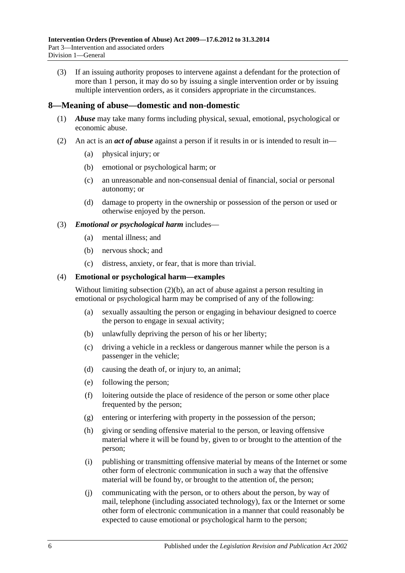(3) If an issuing authority proposes to intervene against a defendant for the protection of more than 1 person, it may do so by issuing a single intervention order or by issuing multiple intervention orders, as it considers appropriate in the circumstances.

#### <span id="page-5-0"></span>**8—Meaning of abuse—domestic and non-domestic**

- (1) *Abuse* may take many forms including physical, sexual, emotional, psychological or economic abuse.
- <span id="page-5-2"></span><span id="page-5-1"></span>(2) An act is an *act of abuse* against a person if it results in or is intended to result in—
	- (a) physical injury; or
	- (b) emotional or psychological harm; or
	- (c) an unreasonable and non-consensual denial of financial, social or personal autonomy; or
	- (d) damage to property in the ownership or possession of the person or used or otherwise enjoyed by the person.

#### (3) *Emotional or psychological harm* includes—

- (a) mental illness; and
- (b) nervous shock; and
- (c) distress, anxiety, or fear, that is more than trivial.

#### (4) **Emotional or psychological harm—examples**

Without limiting [subsection](#page-5-1) (2)(b), an act of abuse against a person resulting in emotional or psychological harm may be comprised of any of the following:

- (a) sexually assaulting the person or engaging in behaviour designed to coerce the person to engage in sexual activity;
- (b) unlawfully depriving the person of his or her liberty;
- (c) driving a vehicle in a reckless or dangerous manner while the person is a passenger in the vehicle;
- (d) causing the death of, or injury to, an animal;
- (e) following the person;
- (f) loitering outside the place of residence of the person or some other place frequented by the person;
- (g) entering or interfering with property in the possession of the person;
- (h) giving or sending offensive material to the person, or leaving offensive material where it will be found by, given to or brought to the attention of the person;
- (i) publishing or transmitting offensive material by means of the Internet or some other form of electronic communication in such a way that the offensive material will be found by, or brought to the attention of, the person;
- (j) communicating with the person, or to others about the person, by way of mail, telephone (including associated technology), fax or the Internet or some other form of electronic communication in a manner that could reasonably be expected to cause emotional or psychological harm to the person;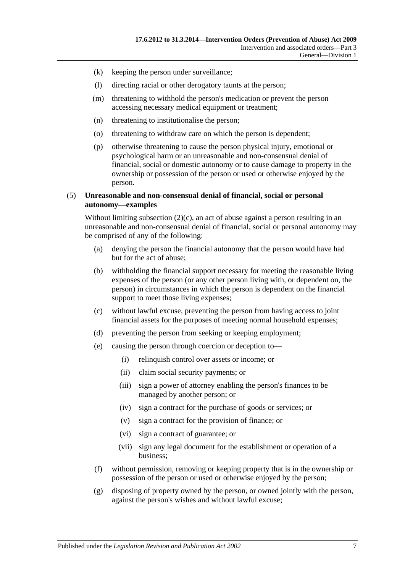- (k) keeping the person under surveillance;
- (l) directing racial or other derogatory taunts at the person;
- (m) threatening to withhold the person's medication or prevent the person accessing necessary medical equipment or treatment;
- (n) threatening to institutionalise the person;
- (o) threatening to withdraw care on which the person is dependent;
- (p) otherwise threatening to cause the person physical injury, emotional or psychological harm or an unreasonable and non-consensual denial of financial, social or domestic autonomy or to cause damage to property in the ownership or possession of the person or used or otherwise enjoyed by the person.

#### (5) **Unreasonable and non-consensual denial of financial, social or personal autonomy—examples**

Without limiting [subsection](#page-5-2)  $(2)(c)$ , an act of abuse against a person resulting in an unreasonable and non-consensual denial of financial, social or personal autonomy may be comprised of any of the following:

- (a) denying the person the financial autonomy that the person would have had but for the act of abuse;
- (b) withholding the financial support necessary for meeting the reasonable living expenses of the person (or any other person living with, or dependent on, the person) in circumstances in which the person is dependent on the financial support to meet those living expenses;
- (c) without lawful excuse, preventing the person from having access to joint financial assets for the purposes of meeting normal household expenses;
- (d) preventing the person from seeking or keeping employment;
- (e) causing the person through coercion or deception to—
	- (i) relinquish control over assets or income; or
	- (ii) claim social security payments; or
	- (iii) sign a power of attorney enabling the person's finances to be managed by another person; or
	- (iv) sign a contract for the purchase of goods or services; or
	- (v) sign a contract for the provision of finance; or
	- (vi) sign a contract of guarantee; or
	- (vii) sign any legal document for the establishment or operation of a business;
- (f) without permission, removing or keeping property that is in the ownership or possession of the person or used or otherwise enjoyed by the person;
- (g) disposing of property owned by the person, or owned jointly with the person, against the person's wishes and without lawful excuse;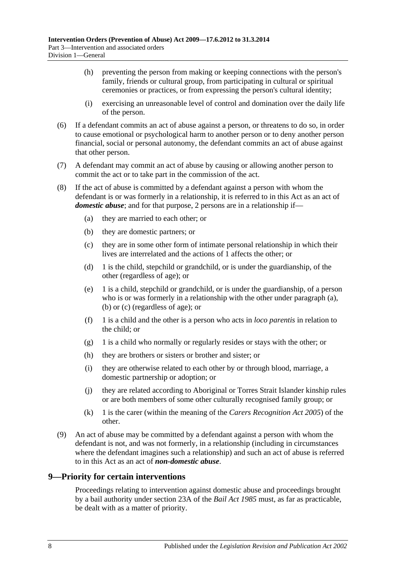- (h) preventing the person from making or keeping connections with the person's family, friends or cultural group, from participating in cultural or spiritual ceremonies or practices, or from expressing the person's cultural identity;
- (i) exercising an unreasonable level of control and domination over the daily life of the person.
- (6) If a defendant commits an act of abuse against a person, or threatens to do so, in order to cause emotional or psychological harm to another person or to deny another person financial, social or personal autonomy, the defendant commits an act of abuse against that other person.
- (7) A defendant may commit an act of abuse by causing or allowing another person to commit the act or to take part in the commission of the act.
- <span id="page-7-5"></span><span id="page-7-4"></span><span id="page-7-3"></span><span id="page-7-1"></span>(8) If the act of abuse is committed by a defendant against a person with whom the defendant is or was formerly in a relationship, it is referred to in this Act as an act of *domestic abuse*; and for that purpose, 2 persons are in a relationship if—
	- (a) they are married to each other; or
	- (b) they are domestic partners; or
	- (c) they are in some other form of intimate personal relationship in which their lives are interrelated and the actions of 1 affects the other; or
	- (d) 1 is the child, stepchild or grandchild, or is under the guardianship, of the other (regardless of age); or
	- (e) 1 is a child, stepchild or grandchild, or is under the guardianship, of a person who is or was formerly in a relationship with the other under [paragraph](#page-7-3) (a), [\(b\)](#page-7-4) or [\(c\)](#page-7-5) (regardless of age); or
	- (f) 1 is a child and the other is a person who acts in *loco parentis* in relation to the child; or
	- (g) 1 is a child who normally or regularly resides or stays with the other; or
	- (h) they are brothers or sisters or brother and sister; or
	- (i) they are otherwise related to each other by or through blood, marriage, a domestic partnership or adoption; or
	- (j) they are related according to Aboriginal or Torres Strait Islander kinship rules or are both members of some other culturally recognised family group; or
	- (k) 1 is the carer (within the meaning of the *[Carers Recognition Act](http://www.legislation.sa.gov.au/index.aspx?action=legref&type=act&legtitle=Carers%20Recognition%20Act%202005) 2005*) of the other.
- <span id="page-7-2"></span>(9) An act of abuse may be committed by a defendant against a person with whom the defendant is not, and was not formerly, in a relationship (including in circumstances where the defendant imagines such a relationship) and such an act of abuse is referred to in this Act as an act of *non-domestic abuse*.

#### <span id="page-7-0"></span>**9—Priority for certain interventions**

Proceedings relating to intervention against domestic abuse and proceedings brought by a bail authority under section 23A of the *[Bail Act](http://www.legislation.sa.gov.au/index.aspx?action=legref&type=act&legtitle=Bail%20Act%201985) 1985* must, as far as practicable, be dealt with as a matter of priority.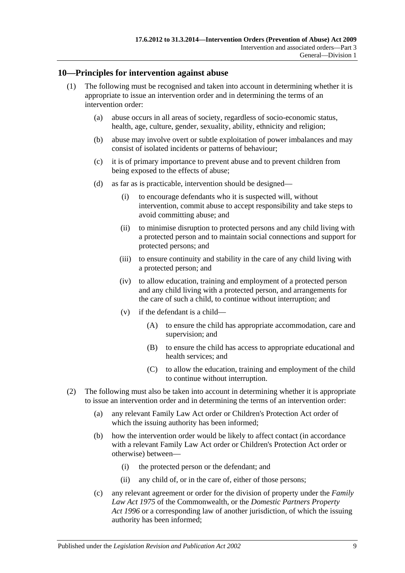#### <span id="page-8-0"></span>**10—Principles for intervention against abuse**

- (1) The following must be recognised and taken into account in determining whether it is appropriate to issue an intervention order and in determining the terms of an intervention order:
	- (a) abuse occurs in all areas of society, regardless of socio-economic status, health, age, culture, gender, sexuality, ability, ethnicity and religion;
	- (b) abuse may involve overt or subtle exploitation of power imbalances and may consist of isolated incidents or patterns of behaviour;
	- (c) it is of primary importance to prevent abuse and to prevent children from being exposed to the effects of abuse;
	- (d) as far as is practicable, intervention should be designed—
		- (i) to encourage defendants who it is suspected will, without intervention, commit abuse to accept responsibility and take steps to avoid committing abuse; and
		- (ii) to minimise disruption to protected persons and any child living with a protected person and to maintain social connections and support for protected persons; and
		- (iii) to ensure continuity and stability in the care of any child living with a protected person; and
		- (iv) to allow education, training and employment of a protected person and any child living with a protected person, and arrangements for the care of such a child, to continue without interruption; and
		- (v) if the defendant is a child—
			- (A) to ensure the child has appropriate accommodation, care and supervision; and
			- (B) to ensure the child has access to appropriate educational and health services; and
			- (C) to allow the education, training and employment of the child to continue without interruption.
- (2) The following must also be taken into account in determining whether it is appropriate to issue an intervention order and in determining the terms of an intervention order:
	- (a) any relevant Family Law Act order or Children's Protection Act order of which the issuing authority has been informed;
	- (b) how the intervention order would be likely to affect contact (in accordance with a relevant Family Law Act order or Children's Protection Act order or otherwise) between—
		- (i) the protected person or the defendant; and
		- (ii) any child of, or in the care of, either of those persons;
	- (c) any relevant agreement or order for the division of property under the *Family Law Act 1975* of the Commonwealth, or the *[Domestic Partners Property](http://www.legislation.sa.gov.au/index.aspx?action=legref&type=act&legtitle=Domestic%20Partners%20Property%20Act%201996)  Act [1996](http://www.legislation.sa.gov.au/index.aspx?action=legref&type=act&legtitle=Domestic%20Partners%20Property%20Act%201996)* or a corresponding law of another jurisdiction, of which the issuing authority has been informed;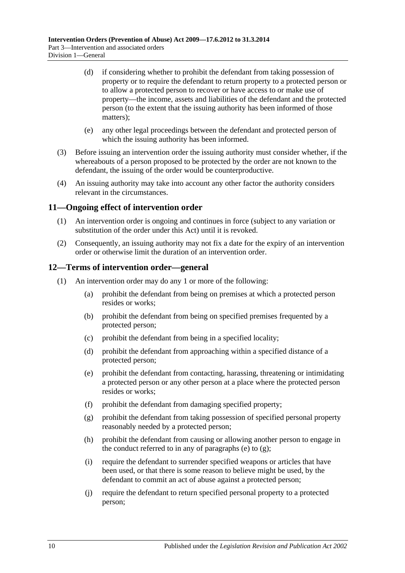- (d) if considering whether to prohibit the defendant from taking possession of property or to require the defendant to return property to a protected person or to allow a protected person to recover or have access to or make use of property—the income, assets and liabilities of the defendant and the protected person (to the extent that the issuing authority has been informed of those matters);
- (e) any other legal proceedings between the defendant and protected person of which the issuing authority has been informed.
- (3) Before issuing an intervention order the issuing authority must consider whether, if the whereabouts of a person proposed to be protected by the order are not known to the defendant, the issuing of the order would be counterproductive.
- (4) An issuing authority may take into account any other factor the authority considers relevant in the circumstances.

#### <span id="page-9-0"></span>**11—Ongoing effect of intervention order**

- (1) An intervention order is ongoing and continues in force (subject to any variation or substitution of the order under this Act) until it is revoked.
- (2) Consequently, an issuing authority may not fix a date for the expiry of an intervention order or otherwise limit the duration of an intervention order.

#### <span id="page-9-1"></span>**12—Terms of intervention order—general**

- <span id="page-9-3"></span><span id="page-9-2"></span>(1) An intervention order may do any 1 or more of the following:
	- (a) prohibit the defendant from being on premises at which a protected person resides or works;
	- (b) prohibit the defendant from being on specified premises frequented by a protected person;
	- (c) prohibit the defendant from being in a specified locality;
	- (d) prohibit the defendant from approaching within a specified distance of a protected person;
	- (e) prohibit the defendant from contacting, harassing, threatening or intimidating a protected person or any other person at a place where the protected person resides or works;
	- (f) prohibit the defendant from damaging specified property;
	- (g) prohibit the defendant from taking possession of specified personal property reasonably needed by a protected person;
	- (h) prohibit the defendant from causing or allowing another person to engage in the conduct referred to in any of [paragraphs](#page-9-2) (e) to  $(g)$ ;
	- (i) require the defendant to surrender specified weapons or articles that have been used, or that there is some reason to believe might be used, by the defendant to commit an act of abuse against a protected person;
	- (j) require the defendant to return specified personal property to a protected person;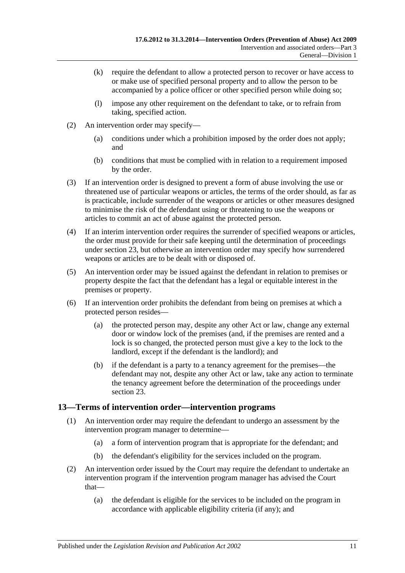- (k) require the defendant to allow a protected person to recover or have access to or make use of specified personal property and to allow the person to be accompanied by a police officer or other specified person while doing so;
- (l) impose any other requirement on the defendant to take, or to refrain from taking, specified action.
- (2) An intervention order may specify—
	- (a) conditions under which a prohibition imposed by the order does not apply; and
	- (b) conditions that must be complied with in relation to a requirement imposed by the order.
- (3) If an intervention order is designed to prevent a form of abuse involving the use or threatened use of particular weapons or articles, the terms of the order should, as far as is practicable, include surrender of the weapons or articles or other measures designed to minimise the risk of the defendant using or threatening to use the weapons or articles to commit an act of abuse against the protected person.
- (4) If an interim intervention order requires the surrender of specified weapons or articles, the order must provide for their safe keeping until the determination of proceedings under [section](#page-16-0) 23, but otherwise an intervention order may specify how surrendered weapons or articles are to be dealt with or disposed of.
- (5) An intervention order may be issued against the defendant in relation to premises or property despite the fact that the defendant has a legal or equitable interest in the premises or property.
- (6) If an intervention order prohibits the defendant from being on premises at which a protected person resides—
	- (a) the protected person may, despite any other Act or law, change any external door or window lock of the premises (and, if the premises are rented and a lock is so changed, the protected person must give a key to the lock to the landlord, except if the defendant is the landlord); and
	- (b) if the defendant is a party to a tenancy agreement for the premises—the defendant may not, despite any other Act or law, take any action to terminate the tenancy agreement before the determination of the proceedings under [section](#page-16-0) 23.

#### <span id="page-10-0"></span>**13—Terms of intervention order—intervention programs**

- (1) An intervention order may require the defendant to undergo an assessment by the intervention program manager to determine—
	- (a) a form of intervention program that is appropriate for the defendant; and
	- (b) the defendant's eligibility for the services included on the program.
- (2) An intervention order issued by the Court may require the defendant to undertake an intervention program if the intervention program manager has advised the Court that—
	- (a) the defendant is eligible for the services to be included on the program in accordance with applicable eligibility criteria (if any); and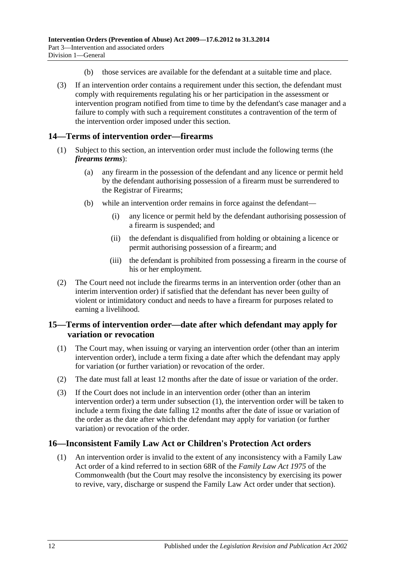- (b) those services are available for the defendant at a suitable time and place.
- (3) If an intervention order contains a requirement under this section, the defendant must comply with requirements regulating his or her participation in the assessment or intervention program notified from time to time by the defendant's case manager and a failure to comply with such a requirement constitutes a contravention of the term of the intervention order imposed under this section.

### <span id="page-11-0"></span>**14—Terms of intervention order—firearms**

- (1) Subject to this section, an intervention order must include the following terms (the *firearms terms*):
	- (a) any firearm in the possession of the defendant and any licence or permit held by the defendant authorising possession of a firearm must be surrendered to the Registrar of Firearms;
	- (b) while an intervention order remains in force against the defendant—
		- (i) any licence or permit held by the defendant authorising possession of a firearm is suspended; and
		- (ii) the defendant is disqualified from holding or obtaining a licence or permit authorising possession of a firearm; and
		- (iii) the defendant is prohibited from possessing a firearm in the course of his or her employment.
- (2) The Court need not include the firearms terms in an intervention order (other than an interim intervention order) if satisfied that the defendant has never been guilty of violent or intimidatory conduct and needs to have a firearm for purposes related to earning a livelihood.

#### <span id="page-11-1"></span>**15—Terms of intervention order—date after which defendant may apply for variation or revocation**

- <span id="page-11-3"></span>(1) The Court may, when issuing or varying an intervention order (other than an interim intervention order), include a term fixing a date after which the defendant may apply for variation (or further variation) or revocation of the order.
- (2) The date must fall at least 12 months after the date of issue or variation of the order.
- (3) If the Court does not include in an intervention order (other than an interim intervention order) a term under [subsection](#page-11-3) (1), the intervention order will be taken to include a term fixing the date falling 12 months after the date of issue or variation of the order as the date after which the defendant may apply for variation (or further variation) or revocation of the order.

#### <span id="page-11-2"></span>**16—Inconsistent Family Law Act or Children's Protection Act orders**

(1) An intervention order is invalid to the extent of any inconsistency with a Family Law Act order of a kind referred to in section 68R of the *Family Law Act 1975* of the Commonwealth (but the Court may resolve the inconsistency by exercising its power to revive, vary, discharge or suspend the Family Law Act order under that section).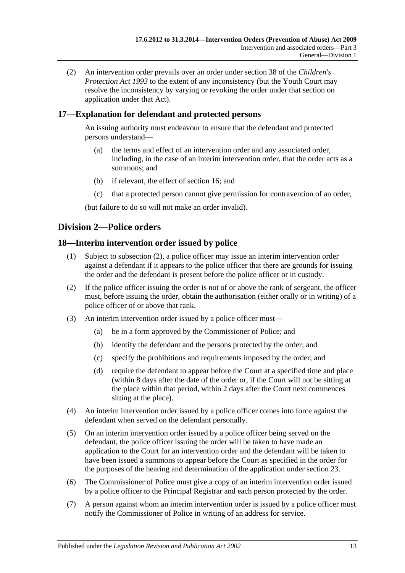(2) An intervention order prevails over an order under section 38 of the *[Children's](http://www.legislation.sa.gov.au/index.aspx?action=legref&type=act&legtitle=Childrens%20Protection%20Act%201993)  [Protection Act](http://www.legislation.sa.gov.au/index.aspx?action=legref&type=act&legtitle=Childrens%20Protection%20Act%201993) 1993* to the extent of any inconsistency (but the Youth Court may resolve the inconsistency by varying or revoking the order under that section on application under that Act).

## <span id="page-12-0"></span>**17—Explanation for defendant and protected persons**

An issuing authority must endeavour to ensure that the defendant and protected persons understand—

- (a) the terms and effect of an intervention order and any associated order, including, in the case of an interim intervention order, that the order acts as a summons; and
- (b) if relevant, the effect of [section](#page-11-2) 16; and
- (c) that a protected person cannot give permission for contravention of an order,

(but failure to do so will not make an order invalid).

## <span id="page-12-1"></span>**Division 2—Police orders**

### <span id="page-12-2"></span>**18—Interim intervention order issued by police**

- (1) Subject to [subsection](#page-12-3) (2), a police officer may issue an interim intervention order against a defendant if it appears to the police officer that there are grounds for issuing the order and the defendant is present before the police officer or in custody.
- <span id="page-12-3"></span>(2) If the police officer issuing the order is not of or above the rank of sergeant, the officer must, before issuing the order, obtain the authorisation (either orally or in writing) of a police officer of or above that rank.
- (3) An interim intervention order issued by a police officer must—
	- (a) be in a form approved by the Commissioner of Police; and
	- (b) identify the defendant and the persons protected by the order; and
	- (c) specify the prohibitions and requirements imposed by the order; and
	- (d) require the defendant to appear before the Court at a specified time and place (within 8 days after the date of the order or, if the Court will not be sitting at the place within that period, within 2 days after the Court next commences sitting at the place).
- (4) An interim intervention order issued by a police officer comes into force against the defendant when served on the defendant personally.
- (5) On an interim intervention order issued by a police officer being served on the defendant, the police officer issuing the order will be taken to have made an application to the Court for an intervention order and the defendant will be taken to have been issued a summons to appear before the Court as specified in the order for the purposes of the hearing and determination of the application under [section](#page-16-0) 23.
- (6) The Commissioner of Police must give a copy of an interim intervention order issued by a police officer to the Principal Registrar and each person protected by the order.
- <span id="page-12-4"></span>(7) A person against whom an interim intervention order is issued by a police officer must notify the Commissioner of Police in writing of an address for service.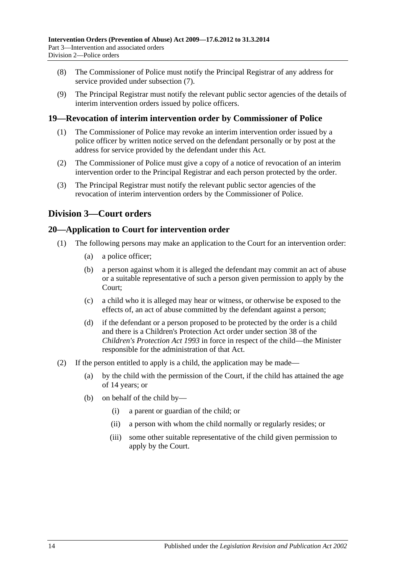- (8) The Commissioner of Police must notify the Principal Registrar of any address for service provided under [subsection](#page-12-4) (7).
- (9) The Principal Registrar must notify the relevant public sector agencies of the details of interim intervention orders issued by police officers.

### <span id="page-13-0"></span>**19—Revocation of interim intervention order by Commissioner of Police**

- (1) The Commissioner of Police may revoke an interim intervention order issued by a police officer by written notice served on the defendant personally or by post at the address for service provided by the defendant under this Act.
- (2) The Commissioner of Police must give a copy of a notice of revocation of an interim intervention order to the Principal Registrar and each person protected by the order.
- (3) The Principal Registrar must notify the relevant public sector agencies of the revocation of interim intervention orders by the Commissioner of Police.

## <span id="page-13-1"></span>**Division 3—Court orders**

#### <span id="page-13-2"></span>**20—Application to Court for intervention order**

- (1) The following persons may make an application to the Court for an intervention order:
	- (a) a police officer;
	- (b) a person against whom it is alleged the defendant may commit an act of abuse or a suitable representative of such a person given permission to apply by the Court;
	- (c) a child who it is alleged may hear or witness, or otherwise be exposed to the effects of, an act of abuse committed by the defendant against a person;
	- (d) if the defendant or a person proposed to be protected by the order is a child and there is a Children's Protection Act order under section 38 of the *[Children's Protection Act](http://www.legislation.sa.gov.au/index.aspx?action=legref&type=act&legtitle=Childrens%20Protection%20Act%201993) 1993* in force in respect of the child—the Minister responsible for the administration of that Act.
- (2) If the person entitled to apply is a child, the application may be made—
	- (a) by the child with the permission of the Court, if the child has attained the age of 14 years; or
	- (b) on behalf of the child by—
		- (i) a parent or guardian of the child; or
		- (ii) a person with whom the child normally or regularly resides; or
		- (iii) some other suitable representative of the child given permission to apply by the Court.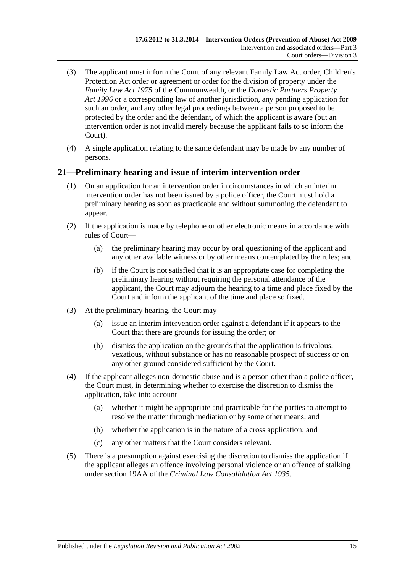- (3) The applicant must inform the Court of any relevant Family Law Act order, Children's Protection Act order or agreement or order for the division of property under the *Family Law Act 1975* of the Commonwealth, or the *[Domestic Partners Property](http://www.legislation.sa.gov.au/index.aspx?action=legref&type=act&legtitle=Domestic%20Partners%20Property%20Act%201996)  Act [1996](http://www.legislation.sa.gov.au/index.aspx?action=legref&type=act&legtitle=Domestic%20Partners%20Property%20Act%201996)* or a corresponding law of another jurisdiction, any pending application for such an order, and any other legal proceedings between a person proposed to be protected by the order and the defendant, of which the applicant is aware (but an intervention order is not invalid merely because the applicant fails to so inform the Court).
- (4) A single application relating to the same defendant may be made by any number of persons.

### <span id="page-14-0"></span>**21—Preliminary hearing and issue of interim intervention order**

- (1) On an application for an intervention order in circumstances in which an interim intervention order has not been issued by a police officer, the Court must hold a preliminary hearing as soon as practicable and without summoning the defendant to appear.
- (2) If the application is made by telephone or other electronic means in accordance with rules of Court—
	- (a) the preliminary hearing may occur by oral questioning of the applicant and any other available witness or by other means contemplated by the rules; and
	- (b) if the Court is not satisfied that it is an appropriate case for completing the preliminary hearing without requiring the personal attendance of the applicant, the Court may adjourn the hearing to a time and place fixed by the Court and inform the applicant of the time and place so fixed.
- (3) At the preliminary hearing, the Court may—
	- (a) issue an interim intervention order against a defendant if it appears to the Court that there are grounds for issuing the order; or
	- (b) dismiss the application on the grounds that the application is frivolous, vexatious, without substance or has no reasonable prospect of success or on any other ground considered sufficient by the Court.
- (4) If the applicant alleges non-domestic abuse and is a person other than a police officer, the Court must, in determining whether to exercise the discretion to dismiss the application, take into account—
	- (a) whether it might be appropriate and practicable for the parties to attempt to resolve the matter through mediation or by some other means; and
	- (b) whether the application is in the nature of a cross application; and
	- (c) any other matters that the Court considers relevant.
- (5) There is a presumption against exercising the discretion to dismiss the application if the applicant alleges an offence involving personal violence or an offence of stalking under section 19AA of the *[Criminal Law Consolidation Act](http://www.legislation.sa.gov.au/index.aspx?action=legref&type=act&legtitle=Criminal%20Law%20Consolidation%20Act%201935) 1935*.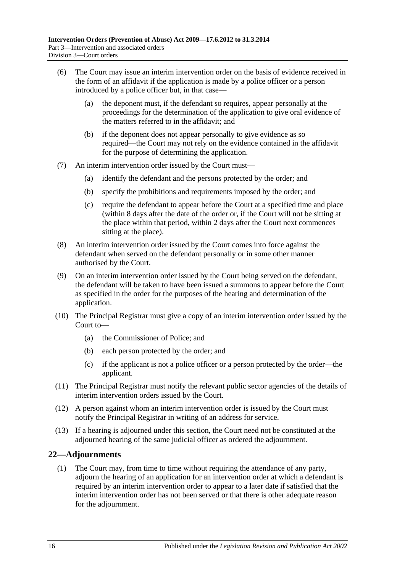- (6) The Court may issue an interim intervention order on the basis of evidence received in the form of an affidavit if the application is made by a police officer or a person introduced by a police officer but, in that case—
	- (a) the deponent must, if the defendant so requires, appear personally at the proceedings for the determination of the application to give oral evidence of the matters referred to in the affidavit; and
	- (b) if the deponent does not appear personally to give evidence as so required—the Court may not rely on the evidence contained in the affidavit for the purpose of determining the application.
- (7) An interim intervention order issued by the Court must—
	- (a) identify the defendant and the persons protected by the order; and
	- (b) specify the prohibitions and requirements imposed by the order; and
	- (c) require the defendant to appear before the Court at a specified time and place (within 8 days after the date of the order or, if the Court will not be sitting at the place within that period, within 2 days after the Court next commences sitting at the place).
- (8) An interim intervention order issued by the Court comes into force against the defendant when served on the defendant personally or in some other manner authorised by the Court.
- (9) On an interim intervention order issued by the Court being served on the defendant, the defendant will be taken to have been issued a summons to appear before the Court as specified in the order for the purposes of the hearing and determination of the application.
- (10) The Principal Registrar must give a copy of an interim intervention order issued by the Court to—
	- (a) the Commissioner of Police; and
	- (b) each person protected by the order; and
	- (c) if the applicant is not a police officer or a person protected by the order—the applicant.
- (11) The Principal Registrar must notify the relevant public sector agencies of the details of interim intervention orders issued by the Court.
- (12) A person against whom an interim intervention order is issued by the Court must notify the Principal Registrar in writing of an address for service.
- (13) If a hearing is adjourned under this section, the Court need not be constituted at the adjourned hearing of the same judicial officer as ordered the adjournment.

## <span id="page-15-0"></span>**22—Adjournments**

(1) The Court may, from time to time without requiring the attendance of any party, adjourn the hearing of an application for an intervention order at which a defendant is required by an interim intervention order to appear to a later date if satisfied that the interim intervention order has not been served or that there is other adequate reason for the adjournment.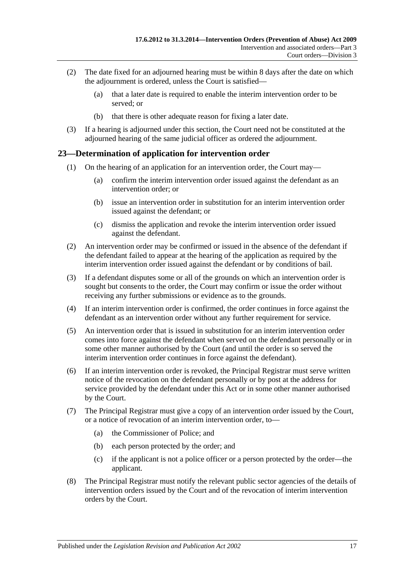- (2) The date fixed for an adjourned hearing must be within 8 days after the date on which the adjournment is ordered, unless the Court is satisfied—
	- (a) that a later date is required to enable the interim intervention order to be served; or
	- (b) that there is other adequate reason for fixing a later date.
- (3) If a hearing is adjourned under this section, the Court need not be constituted at the adjourned hearing of the same judicial officer as ordered the adjournment.

## <span id="page-16-0"></span>**23—Determination of application for intervention order**

- (1) On the hearing of an application for an intervention order, the Court may—
	- (a) confirm the interim intervention order issued against the defendant as an intervention order; or
	- (b) issue an intervention order in substitution for an interim intervention order issued against the defendant; or
	- (c) dismiss the application and revoke the interim intervention order issued against the defendant.
- (2) An intervention order may be confirmed or issued in the absence of the defendant if the defendant failed to appear at the hearing of the application as required by the interim intervention order issued against the defendant or by conditions of bail.
- (3) If a defendant disputes some or all of the grounds on which an intervention order is sought but consents to the order, the Court may confirm or issue the order without receiving any further submissions or evidence as to the grounds.
- (4) If an interim intervention order is confirmed, the order continues in force against the defendant as an intervention order without any further requirement for service.
- (5) An intervention order that is issued in substitution for an interim intervention order comes into force against the defendant when served on the defendant personally or in some other manner authorised by the Court (and until the order is so served the interim intervention order continues in force against the defendant).
- (6) If an interim intervention order is revoked, the Principal Registrar must serve written notice of the revocation on the defendant personally or by post at the address for service provided by the defendant under this Act or in some other manner authorised by the Court.
- (7) The Principal Registrar must give a copy of an intervention order issued by the Court, or a notice of revocation of an interim intervention order, to—
	- (a) the Commissioner of Police; and
	- (b) each person protected by the order; and
	- (c) if the applicant is not a police officer or a person protected by the order—the applicant.
- (8) The Principal Registrar must notify the relevant public sector agencies of the details of intervention orders issued by the Court and of the revocation of interim intervention orders by the Court.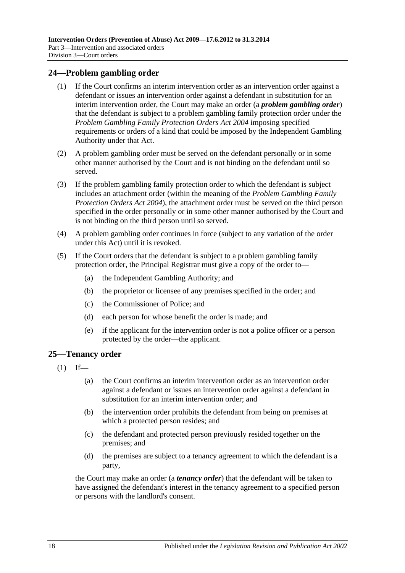#### <span id="page-17-0"></span>**24—Problem gambling order**

- (1) If the Court confirms an interim intervention order as an intervention order against a defendant or issues an intervention order against a defendant in substitution for an interim intervention order, the Court may make an order (a *problem gambling order*) that the defendant is subject to a problem gambling family protection order under the *[Problem Gambling Family Protection Orders Act](http://www.legislation.sa.gov.au/index.aspx?action=legref&type=act&legtitle=Problem%20Gambling%20Family%20Protection%20Orders%20Act%202004) 2004* imposing specified requirements or orders of a kind that could be imposed by the Independent Gambling Authority under that Act.
- (2) A problem gambling order must be served on the defendant personally or in some other manner authorised by the Court and is not binding on the defendant until so served.
- (3) If the problem gambling family protection order to which the defendant is subject includes an attachment order (within the meaning of the *[Problem Gambling Family](http://www.legislation.sa.gov.au/index.aspx?action=legref&type=act&legtitle=Problem%20Gambling%20Family%20Protection%20Orders%20Act%202004)  [Protection Orders Act](http://www.legislation.sa.gov.au/index.aspx?action=legref&type=act&legtitle=Problem%20Gambling%20Family%20Protection%20Orders%20Act%202004) 2004*), the attachment order must be served on the third person specified in the order personally or in some other manner authorised by the Court and is not binding on the third person until so served.
- (4) A problem gambling order continues in force (subject to any variation of the order under this Act) until it is revoked.
- (5) If the Court orders that the defendant is subject to a problem gambling family protection order, the Principal Registrar must give a copy of the order to—
	- (a) the Independent Gambling Authority; and
	- (b) the proprietor or licensee of any premises specified in the order; and
	- (c) the Commissioner of Police; and
	- (d) each person for whose benefit the order is made; and
	- (e) if the applicant for the intervention order is not a police officer or a person protected by the order—the applicant.

#### <span id="page-17-1"></span>**25—Tenancy order**

- $(1)$  If—
	- (a) the Court confirms an interim intervention order as an intervention order against a defendant or issues an intervention order against a defendant in substitution for an interim intervention order; and
	- (b) the intervention order prohibits the defendant from being on premises at which a protected person resides; and
	- (c) the defendant and protected person previously resided together on the premises; and
	- (d) the premises are subject to a tenancy agreement to which the defendant is a party,

the Court may make an order (a *tenancy order*) that the defendant will be taken to have assigned the defendant's interest in the tenancy agreement to a specified person or persons with the landlord's consent.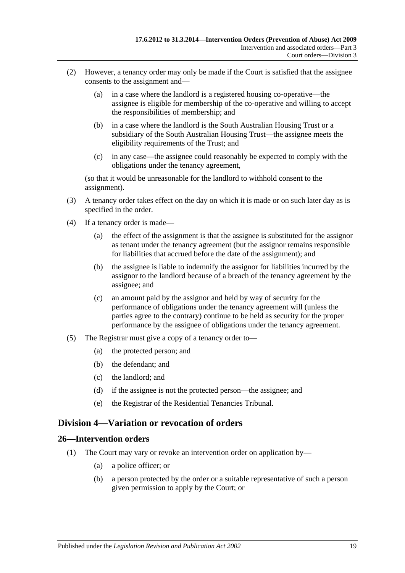- (2) However, a tenancy order may only be made if the Court is satisfied that the assignee consents to the assignment and—
	- (a) in a case where the landlord is a registered housing co-operative—the assignee is eligible for membership of the co-operative and willing to accept the responsibilities of membership; and
	- (b) in a case where the landlord is the South Australian Housing Trust or a subsidiary of the South Australian Housing Trust—the assignee meets the eligibility requirements of the Trust; and
	- (c) in any case—the assignee could reasonably be expected to comply with the obligations under the tenancy agreement,

(so that it would be unreasonable for the landlord to withhold consent to the assignment).

- (3) A tenancy order takes effect on the day on which it is made or on such later day as is specified in the order.
- (4) If a tenancy order is made—
	- (a) the effect of the assignment is that the assignee is substituted for the assignor as tenant under the tenancy agreement (but the assignor remains responsible for liabilities that accrued before the date of the assignment); and
	- (b) the assignee is liable to indemnify the assignor for liabilities incurred by the assignor to the landlord because of a breach of the tenancy agreement by the assignee; and
	- (c) an amount paid by the assignor and held by way of security for the performance of obligations under the tenancy agreement will (unless the parties agree to the contrary) continue to be held as security for the proper performance by the assignee of obligations under the tenancy agreement.
- (5) The Registrar must give a copy of a tenancy order to—
	- (a) the protected person; and
	- (b) the defendant; and
	- (c) the landlord; and
	- (d) if the assignee is not the protected person—the assignee; and
	- (e) the Registrar of the Residential Tenancies Tribunal.

## <span id="page-18-0"></span>**Division 4—Variation or revocation of orders**

#### <span id="page-18-1"></span>**26—Intervention orders**

- (1) The Court may vary or revoke an intervention order on application by—
	- (a) a police officer; or
	- (b) a person protected by the order or a suitable representative of such a person given permission to apply by the Court; or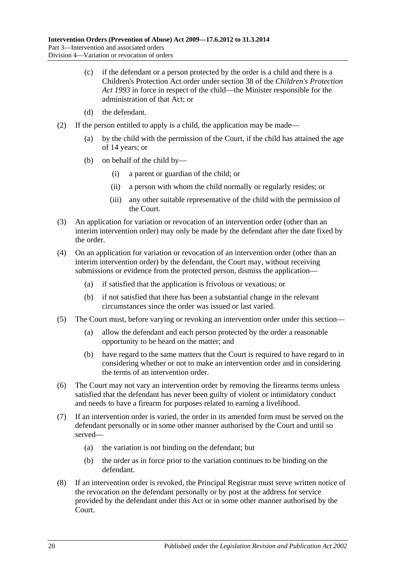- (c) if the defendant or a person protected by the order is a child and there is a Children's Protection Act order under section 38 of the *[Children's Protection](http://www.legislation.sa.gov.au/index.aspx?action=legref&type=act&legtitle=Childrens%20Protection%20Act%201993)  Act [1993](http://www.legislation.sa.gov.au/index.aspx?action=legref&type=act&legtitle=Childrens%20Protection%20Act%201993)* in force in respect of the child—the Minister responsible for the administration of that Act; or
- (d) the defendant.
- (2) If the person entitled to apply is a child, the application may be made—
	- (a) by the child with the permission of the Court, if the child has attained the age of 14 years; or
	- (b) on behalf of the child by—
		- (i) a parent or guardian of the child; or
		- (ii) a person with whom the child normally or regularly resides; or
		- (iii) any other suitable representative of the child with the permission of the Court.
- (3) An application for variation or revocation of an intervention order (other than an interim intervention order) may only be made by the defendant after the date fixed by the order.
- (4) On an application for variation or revocation of an intervention order (other than an interim intervention order) by the defendant, the Court may, without receiving submissions or evidence from the protected person, dismiss the application—
	- (a) if satisfied that the application is frivolous or vexatious; or
	- (b) if not satisfied that there has been a substantial change in the relevant circumstances since the order was issued or last varied.
- (5) The Court must, before varying or revoking an intervention order under this section—
	- (a) allow the defendant and each person protected by the order a reasonable opportunity to be heard on the matter; and
	- (b) have regard to the same matters that the Court is required to have regard to in considering whether or not to make an intervention order and in considering the terms of an intervention order.
- (6) The Court may not vary an intervention order by removing the firearms terms unless satisfied that the defendant has never been guilty of violent or intimidatory conduct and needs to have a firearm for purposes related to earning a livelihood.
- (7) If an intervention order is varied, the order in its amended form must be served on the defendant personally or in some other manner authorised by the Court and until so served—
	- (a) the variation is not binding on the defendant; but
	- (b) the order as in force prior to the variation continues to be binding on the defendant.
- (8) If an intervention order is revoked, the Principal Registrar must serve written notice of the revocation on the defendant personally or by post at the address for service provided by the defendant under this Act or in some other manner authorised by the Court.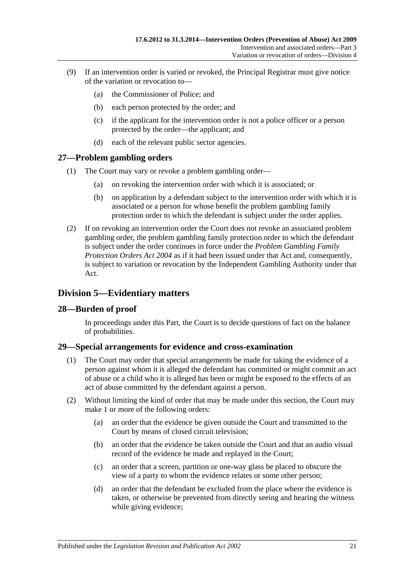- (9) If an intervention order is varied or revoked, the Principal Registrar must give notice of the variation or revocation to—
	- (a) the Commissioner of Police; and
	- (b) each person protected by the order; and
	- (c) if the applicant for the intervention order is not a police officer or a person protected by the order—the applicant; and
	- (d) each of the relevant public sector agencies.

### <span id="page-20-0"></span>**27—Problem gambling orders**

- (1) The Court may vary or revoke a problem gambling order—
	- (a) on revoking the intervention order with which it is associated; or
	- (b) on application by a defendant subject to the intervention order with which it is associated or a person for whose benefit the problem gambling family protection order to which the defendant is subject under the order applies.
- (2) If on revoking an intervention order the Court does not revoke an associated problem gambling order, the problem gambling family protection order to which the defendant is subject under the order continues in force under the *[Problem Gambling Family](http://www.legislation.sa.gov.au/index.aspx?action=legref&type=act&legtitle=Problem%20Gambling%20Family%20Protection%20Orders%20Act%202004)  [Protection Orders Act](http://www.legislation.sa.gov.au/index.aspx?action=legref&type=act&legtitle=Problem%20Gambling%20Family%20Protection%20Orders%20Act%202004) 2004* as if it had been issued under that Act and, consequently, is subject to variation or revocation by the Independent Gambling Authority under that Act.

## <span id="page-20-1"></span>**Division 5—Evidentiary matters**

#### <span id="page-20-2"></span>**28—Burden of proof**

In proceedings under this Part, the Court is to decide questions of fact on the balance of probabilities.

#### <span id="page-20-3"></span>**29—Special arrangements for evidence and cross-examination**

- (1) The Court may order that special arrangements be made for taking the evidence of a person against whom it is alleged the defendant has committed or might commit an act of abuse or a child who it is alleged has been or might be exposed to the effects of an act of abuse committed by the defendant against a person.
- (2) Without limiting the kind of order that may be made under this section, the Court may make 1 or more of the following orders:
	- (a) an order that the evidence be given outside the Court and transmitted to the Court by means of closed circuit television;
	- (b) an order that the evidence be taken outside the Court and that an audio visual record of the evidence be made and replayed in the Court;
	- (c) an order that a screen, partition or one-way glass be placed to obscure the view of a party to whom the evidence relates or some other person;
	- (d) an order that the defendant be excluded from the place where the evidence is taken, or otherwise be prevented from directly seeing and hearing the witness while giving evidence;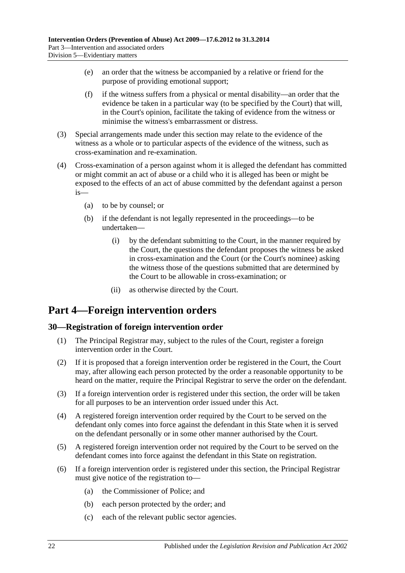- (e) an order that the witness be accompanied by a relative or friend for the purpose of providing emotional support;
- (f) if the witness suffers from a physical or mental disability—an order that the evidence be taken in a particular way (to be specified by the Court) that will, in the Court's opinion, facilitate the taking of evidence from the witness or minimise the witness's embarrassment or distress.
- (3) Special arrangements made under this section may relate to the evidence of the witness as a whole or to particular aspects of the evidence of the witness, such as cross-examination and re-examination.
- (4) Cross-examination of a person against whom it is alleged the defendant has committed or might commit an act of abuse or a child who it is alleged has been or might be exposed to the effects of an act of abuse committed by the defendant against a person is—
	- (a) to be by counsel; or
	- (b) if the defendant is not legally represented in the proceedings—to be undertaken—
		- (i) by the defendant submitting to the Court, in the manner required by the Court, the questions the defendant proposes the witness be asked in cross-examination and the Court (or the Court's nominee) asking the witness those of the questions submitted that are determined by the Court to be allowable in cross-examination; or
		- (ii) as otherwise directed by the Court.

# <span id="page-21-0"></span>**Part 4—Foreign intervention orders**

#### <span id="page-21-1"></span>**30—Registration of foreign intervention order**

- (1) The Principal Registrar may, subject to the rules of the Court, register a foreign intervention order in the Court.
- (2) If it is proposed that a foreign intervention order be registered in the Court, the Court may, after allowing each person protected by the order a reasonable opportunity to be heard on the matter, require the Principal Registrar to serve the order on the defendant.
- (3) If a foreign intervention order is registered under this section, the order will be taken for all purposes to be an intervention order issued under this Act.
- (4) A registered foreign intervention order required by the Court to be served on the defendant only comes into force against the defendant in this State when it is served on the defendant personally or in some other manner authorised by the Court.
- (5) A registered foreign intervention order not required by the Court to be served on the defendant comes into force against the defendant in this State on registration.
- (6) If a foreign intervention order is registered under this section, the Principal Registrar must give notice of the registration to—
	- (a) the Commissioner of Police; and
	- (b) each person protected by the order; and
	- (c) each of the relevant public sector agencies.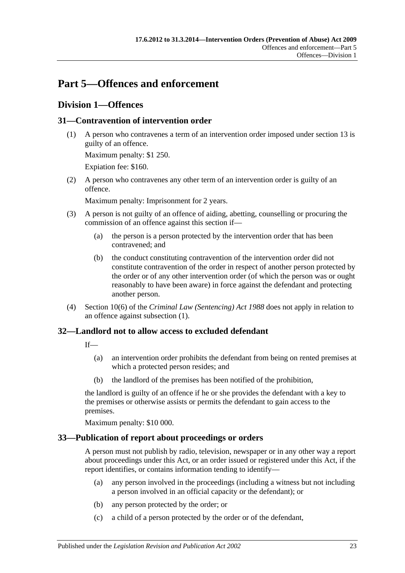# <span id="page-22-0"></span>**Part 5—Offences and enforcement**

## <span id="page-22-1"></span>**Division 1—Offences**

## <span id="page-22-5"></span><span id="page-22-2"></span>**31—Contravention of intervention order**

(1) A person who contravenes a term of an intervention order imposed under [section](#page-10-0) 13 is guilty of an offence.

Maximum penalty: \$1 250.

Expiation fee: \$160.

(2) A person who contravenes any other term of an intervention order is guilty of an offence.

Maximum penalty: Imprisonment for 2 years.

- (3) A person is not guilty of an offence of aiding, abetting, counselling or procuring the commission of an offence against this section if—
	- (a) the person is a person protected by the intervention order that has been contravened; and
	- (b) the conduct constituting contravention of the intervention order did not constitute contravention of the order in respect of another person protected by the order or of any other intervention order (of which the person was or ought reasonably to have been aware) in force against the defendant and protecting another person.
- (4) Section 10(6) of the *[Criminal Law \(Sentencing\) Act](http://www.legislation.sa.gov.au/index.aspx?action=legref&type=act&legtitle=Criminal%20Law%20(Sentencing)%20Act%201988) 1988* does not apply in relation to an offence against [subsection](#page-22-5) (1).

## <span id="page-22-3"></span>**32—Landlord not to allow access to excluded defendant**

If—

- (a) an intervention order prohibits the defendant from being on rented premises at which a protected person resides; and
- (b) the landlord of the premises has been notified of the prohibition,

the landlord is guilty of an offence if he or she provides the defendant with a key to the premises or otherwise assists or permits the defendant to gain access to the premises.

Maximum penalty: \$10 000.

## <span id="page-22-4"></span>**33—Publication of report about proceedings or orders**

A person must not publish by radio, television, newspaper or in any other way a report about proceedings under this Act, or an order issued or registered under this Act, if the report identifies, or contains information tending to identify—

- (a) any person involved in the proceedings (including a witness but not including a person involved in an official capacity or the defendant); or
- (b) any person protected by the order; or
- (c) a child of a person protected by the order or of the defendant,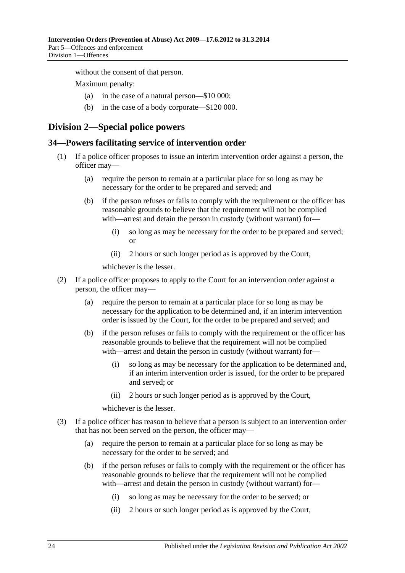without the consent of that person.

Maximum penalty:

- (a) in the case of a natural person—\$10 000;
- (b) in the case of a body corporate—\$120 000.

## <span id="page-23-0"></span>**Division 2—Special police powers**

#### <span id="page-23-1"></span>**34—Powers facilitating service of intervention order**

- (1) If a police officer proposes to issue an interim intervention order against a person, the officer may—
	- (a) require the person to remain at a particular place for so long as may be necessary for the order to be prepared and served; and
	- (b) if the person refuses or fails to comply with the requirement or the officer has reasonable grounds to believe that the requirement will not be complied with—arrest and detain the person in custody (without warrant) for—
		- (i) so long as may be necessary for the order to be prepared and served; or
		- (ii) 2 hours or such longer period as is approved by the Court,

whichever is the lesser.

- (2) If a police officer proposes to apply to the Court for an intervention order against a person, the officer may—
	- (a) require the person to remain at a particular place for so long as may be necessary for the application to be determined and, if an interim intervention order is issued by the Court, for the order to be prepared and served; and
	- (b) if the person refuses or fails to comply with the requirement or the officer has reasonable grounds to believe that the requirement will not be complied with—arrest and detain the person in custody (without warrant) for—
		- (i) so long as may be necessary for the application to be determined and, if an interim intervention order is issued, for the order to be prepared and served; or
		- (ii) 2 hours or such longer period as is approved by the Court,

whichever is the lesser.

- (3) If a police officer has reason to believe that a person is subject to an intervention order that has not been served on the person, the officer may—
	- (a) require the person to remain at a particular place for so long as may be necessary for the order to be served; and
	- (b) if the person refuses or fails to comply with the requirement or the officer has reasonable grounds to believe that the requirement will not be complied with—arrest and detain the person in custody (without warrant) for-
		- (i) so long as may be necessary for the order to be served; or
		- (ii) 2 hours or such longer period as is approved by the Court,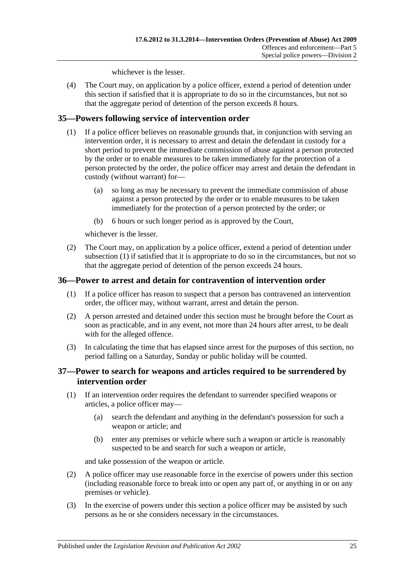whichever is the lesser.

(4) The Court may, on application by a police officer, extend a period of detention under this section if satisfied that it is appropriate to do so in the circumstances, but not so that the aggregate period of detention of the person exceeds 8 hours.

### <span id="page-24-3"></span><span id="page-24-0"></span>**35—Powers following service of intervention order**

- (1) If a police officer believes on reasonable grounds that, in conjunction with serving an intervention order, it is necessary to arrest and detain the defendant in custody for a short period to prevent the immediate commission of abuse against a person protected by the order or to enable measures to be taken immediately for the protection of a person protected by the order, the police officer may arrest and detain the defendant in custody (without warrant) for—
	- (a) so long as may be necessary to prevent the immediate commission of abuse against a person protected by the order or to enable measures to be taken immediately for the protection of a person protected by the order; or
	- (b) 6 hours or such longer period as is approved by the Court,

whichever is the lesser.

(2) The Court may, on application by a police officer, extend a period of detention under [subsection](#page-24-3) (1) if satisfied that it is appropriate to do so in the circumstances, but not so that the aggregate period of detention of the person exceeds 24 hours.

### <span id="page-24-1"></span>**36—Power to arrest and detain for contravention of intervention order**

- (1) If a police officer has reason to suspect that a person has contravened an intervention order, the officer may, without warrant, arrest and detain the person.
- (2) A person arrested and detained under this section must be brought before the Court as soon as practicable, and in any event, not more than 24 hours after arrest, to be dealt with for the alleged offence.
- (3) In calculating the time that has elapsed since arrest for the purposes of this section, no period falling on a Saturday, Sunday or public holiday will be counted.

#### <span id="page-24-2"></span>**37—Power to search for weapons and articles required to be surrendered by intervention order**

- (1) If an intervention order requires the defendant to surrender specified weapons or articles, a police officer may—
	- (a) search the defendant and anything in the defendant's possession for such a weapon or article; and
	- (b) enter any premises or vehicle where such a weapon or article is reasonably suspected to be and search for such a weapon or article,

and take possession of the weapon or article.

- (2) A police officer may use reasonable force in the exercise of powers under this section (including reasonable force to break into or open any part of, or anything in or on any premises or vehicle).
- (3) In the exercise of powers under this section a police officer may be assisted by such persons as he or she considers necessary in the circumstances.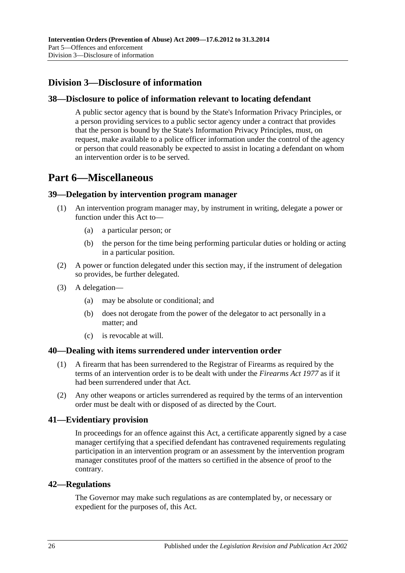## <span id="page-25-0"></span>**Division 3—Disclosure of information**

### <span id="page-25-1"></span>**38—Disclosure to police of information relevant to locating defendant**

A public sector agency that is bound by the State's Information Privacy Principles, or a person providing services to a public sector agency under a contract that provides that the person is bound by the State's Information Privacy Principles, must, on request, make available to a police officer information under the control of the agency or person that could reasonably be expected to assist in locating a defendant on whom an intervention order is to be served.

# <span id="page-25-2"></span>**Part 6—Miscellaneous**

#### <span id="page-25-3"></span>**39—Delegation by intervention program manager**

- (1) An intervention program manager may, by instrument in writing, delegate a power or function under this Act to—
	- (a) a particular person; or
	- (b) the person for the time being performing particular duties or holding or acting in a particular position.
- (2) A power or function delegated under this section may, if the instrument of delegation so provides, be further delegated.
- (3) A delegation—
	- (a) may be absolute or conditional; and
	- (b) does not derogate from the power of the delegator to act personally in a matter; and
	- (c) is revocable at will.

#### <span id="page-25-4"></span>**40—Dealing with items surrendered under intervention order**

- (1) A firearm that has been surrendered to the Registrar of Firearms as required by the terms of an intervention order is to be dealt with under the *[Firearms Act](http://www.legislation.sa.gov.au/index.aspx?action=legref&type=act&legtitle=Firearms%20Act%201977) 1977* as if it had been surrendered under that Act.
- (2) Any other weapons or articles surrendered as required by the terms of an intervention order must be dealt with or disposed of as directed by the Court.

#### <span id="page-25-5"></span>**41—Evidentiary provision**

In proceedings for an offence against this Act, a certificate apparently signed by a case manager certifying that a specified defendant has contravened requirements regulating participation in an intervention program or an assessment by the intervention program manager constitutes proof of the matters so certified in the absence of proof to the contrary.

#### <span id="page-25-6"></span>**42—Regulations**

The Governor may make such regulations as are contemplated by, or necessary or expedient for the purposes of, this Act.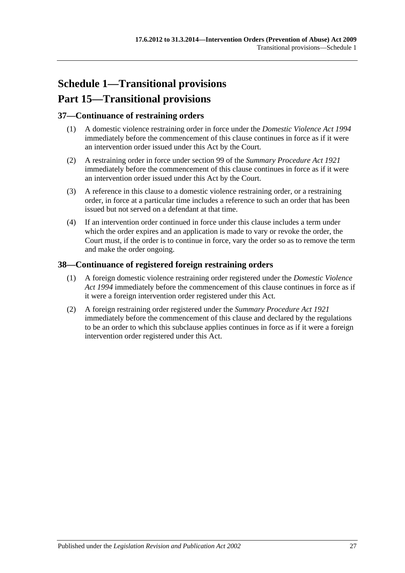# <span id="page-26-0"></span>**Schedule 1—Transitional provisions Part 15—Transitional provisions**

### <span id="page-26-1"></span>**37—Continuance of restraining orders**

- (1) A domestic violence restraining order in force under the *[Domestic Violence Act](http://www.legislation.sa.gov.au/index.aspx?action=legref&type=act&legtitle=Domestic%20Violence%20Act%201994) 1994* immediately before the commencement of this clause continues in force as if it were an intervention order issued under this Act by the Court.
- (2) A restraining order in force under section 99 of the *[Summary Procedure Act](http://www.legislation.sa.gov.au/index.aspx?action=legref&type=act&legtitle=Summary%20Procedure%20Act%201921) 1921* immediately before the commencement of this clause continues in force as if it were an intervention order issued under this Act by the Court.
- (3) A reference in this clause to a domestic violence restraining order, or a restraining order, in force at a particular time includes a reference to such an order that has been issued but not served on a defendant at that time.
- (4) If an intervention order continued in force under this clause includes a term under which the order expires and an application is made to vary or revoke the order, the Court must, if the order is to continue in force, vary the order so as to remove the term and make the order ongoing.

### <span id="page-26-2"></span>**38—Continuance of registered foreign restraining orders**

- (1) A foreign domestic violence restraining order registered under the *[Domestic Violence](http://www.legislation.sa.gov.au/index.aspx?action=legref&type=act&legtitle=Domestic%20Violence%20Act%201994)  Act [1994](http://www.legislation.sa.gov.au/index.aspx?action=legref&type=act&legtitle=Domestic%20Violence%20Act%201994)* immediately before the commencement of this clause continues in force as if it were a foreign intervention order registered under this Act.
- (2) A foreign restraining order registered under the *[Summary Procedure Act](http://www.legislation.sa.gov.au/index.aspx?action=legref&type=act&legtitle=Summary%20Procedure%20Act%201921) 1921* immediately before the commencement of this clause and declared by the regulations to be an order to which this subclause applies continues in force as if it were a foreign intervention order registered under this Act.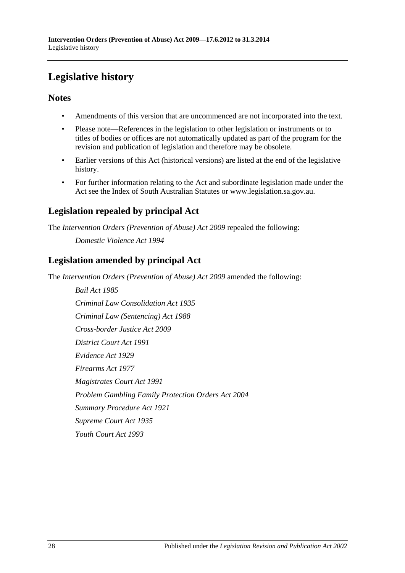# <span id="page-27-0"></span>**Legislative history**

## **Notes**

- Amendments of this version that are uncommenced are not incorporated into the text.
- Please note—References in the legislation to other legislation or instruments or to titles of bodies or offices are not automatically updated as part of the program for the revision and publication of legislation and therefore may be obsolete.
- Earlier versions of this Act (historical versions) are listed at the end of the legislative history.
- For further information relating to the Act and subordinate legislation made under the Act see the Index of South Australian Statutes or www.legislation.sa.gov.au.

# **Legislation repealed by principal Act**

The *Intervention Orders (Prevention of Abuse) Act 2009* repealed the following:

*Domestic Violence Act 1994*

## **Legislation amended by principal Act**

The *Intervention Orders (Prevention of Abuse) Act 2009* amended the following:

*Bail Act 1985 Criminal Law Consolidation Act 1935 Criminal Law (Sentencing) Act 1988 Cross-border Justice Act 2009 District Court Act 1991 Evidence Act 1929 Firearms Act 1977 Magistrates Court Act 1991 Problem Gambling Family Protection Orders Act 2004 Summary Procedure Act 1921 Supreme Court Act 1935 Youth Court Act 1993*